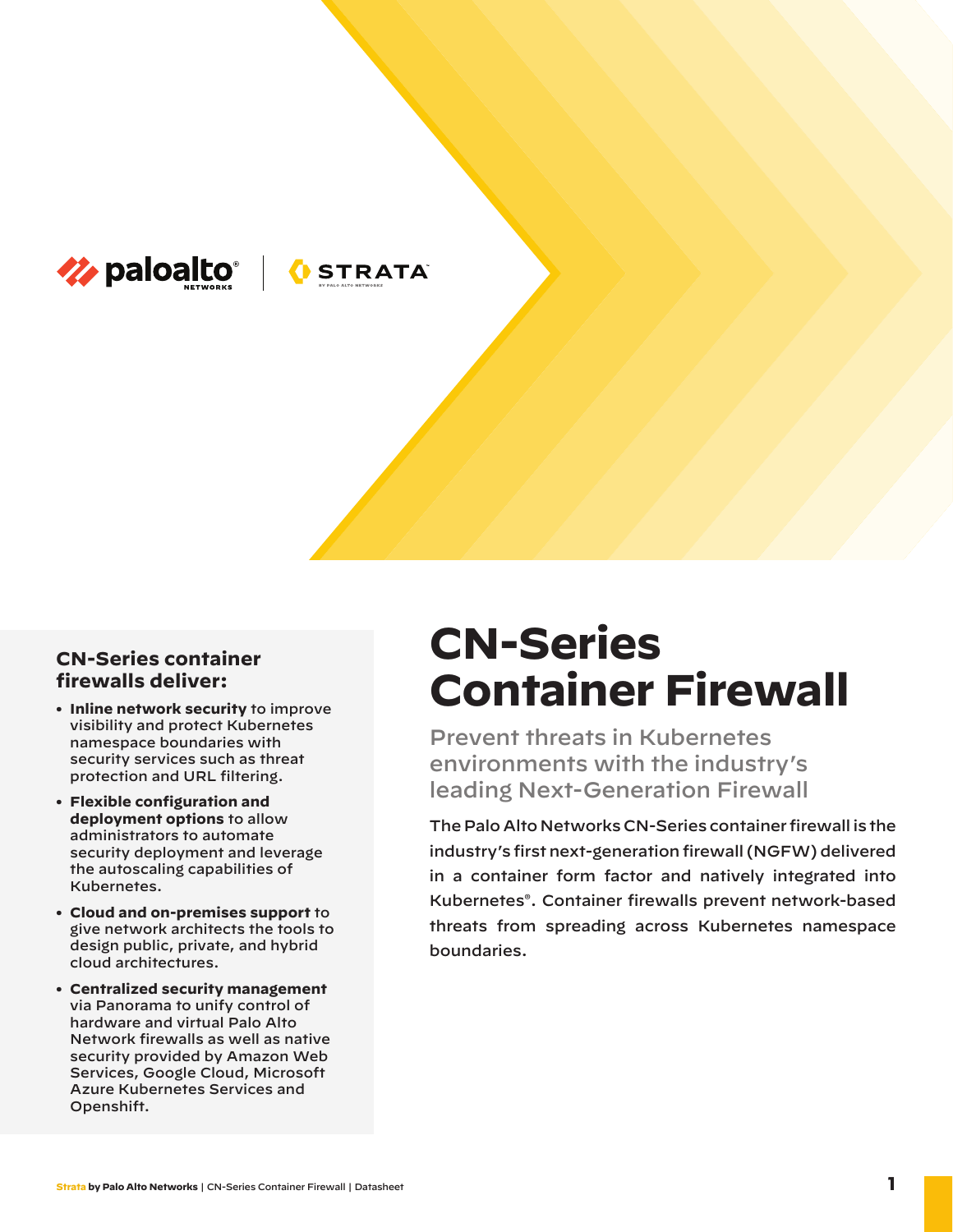

# **OSTRATA**

### **CN-Series container firewalls deliver:**

- **• Inline network security** to improve visibility and protect Kubernetes namespace boundaries with security services such as threat protection and URL filtering.
- **• Flexible configuration and deployment options** to allow administrators to automate security deployment and leverage the autoscaling capabilities of Kubernetes.
- **• Cloud and on-premises support** to give network architects the tools to design public, private, and hybrid cloud architectures.
- **• Centralized security management** via Panorama to unify control of hardware and virtual Palo Alto Network firewalls as well as native security provided by Amazon Web Services, Google Cloud, Microsoft Azure Kubernetes Services and Openshift.

# **CN-Series Container Firewall**

Prevent threats in Kubernetes environments with the industry's leading Next-Generation Firewall

The Palo Alto Networks CN-Series container firewall is the industry's first next-generation firewall (NGFW) delivered in a container form factor and natively integrated into Kubernetes®. Container firewalls prevent network-based threats from spreading across Kubernetes namespace boundaries.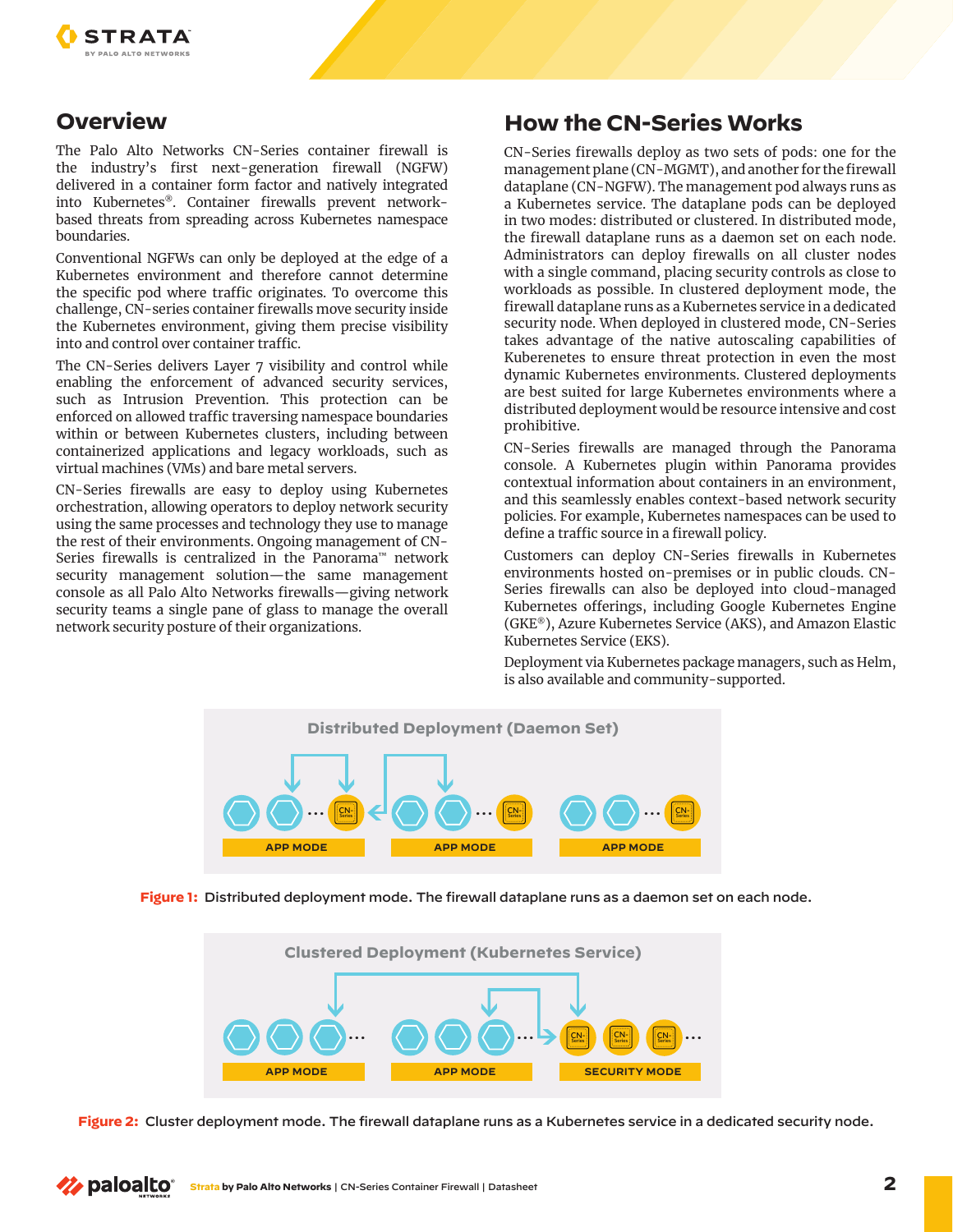

## **Overview**

The Palo Alto Networks CN-Series container firewall is the industry's first next-generation firewall (NGFW) delivered in a container form factor and natively integrated into Kubernetes®. Container firewalls prevent networkbased threats from spreading across Kubernetes namespace boundaries.

Conventional NGFWs can only be deployed at the edge of a Kubernetes environment and therefore cannot determine the specific pod where traffic originates. To overcome this challenge, CN-series container firewalls move security inside the Kubernetes environment, giving them precise visibility into and control over container traffic.

The CN-Series delivers Layer 7 visibility and control while enabling the enforcement of advanced security services, such as Intrusion Prevention. This protection can be enforced on allowed traffic traversing namespace boundaries within or between Kubernetes clusters, including between containerized applications and legacy workloads, such as virtual machines (VMs) and bare metal servers.

CN-Series firewalls are easy to deploy using Kubernetes orchestration, allowing operators to deploy network security using the same processes and technology they use to manage the rest of their environments. Ongoing management of CN-Series firewalls is centralized in the Panorama™ network security management solution—the same management console as all Palo Alto Networks firewalls—giving network security teams a single pane of glass to manage the overall network security posture of their organizations.

## **How the CN-Series Works**

CN-Series firewalls deploy as two sets of pods: one for the management plane (CN-MGMT), and another for the firewall dataplane (CN-NGFW). The management pod always runs as a Kubernetes service. The dataplane pods can be deployed in two modes: distributed or clustered. In distributed mode, the firewall dataplane runs as a daemon set on each node. Administrators can deploy firewalls on all cluster nodes with a single command, placing security controls as close to workloads as possible. In clustered deployment mode, the firewall dataplane runs as a Kubernetes service in a dedicated security node. When deployed in clustered mode, CN-Series takes advantage of the native autoscaling capabilities of Kuberenetes to ensure threat protection in even the most dynamic Kubernetes environments. Clustered deployments are best suited for large Kubernetes environments where a distributed deployment would be resource intensive and cost prohibitive.

CN-Series firewalls are managed through the Panorama console. A Kubernetes plugin within Panorama provides contextual information about containers in an environment, and this seamlessly enables context-based network security policies. For example, Kubernetes namespaces can be used to define a traffic source in a firewall policy.

Customers can deploy CN-Series firewalls in Kubernetes environments hosted on-premises or in public clouds. CN-Series firewalls can also be deployed into cloud-managed Kubernetes offerings, including Google Kubernetes Engine (GKE®), Azure Kubernetes Service (AKS), and Amazon Elastic Kubernetes Service (EKS).

Deployment via Kubernetes package managers, such as Helm, is also available and community-supported.







**Figure 2:** Cluster deployment mode. The firewall dataplane runs as a Kubernetes service in a dedicated security node.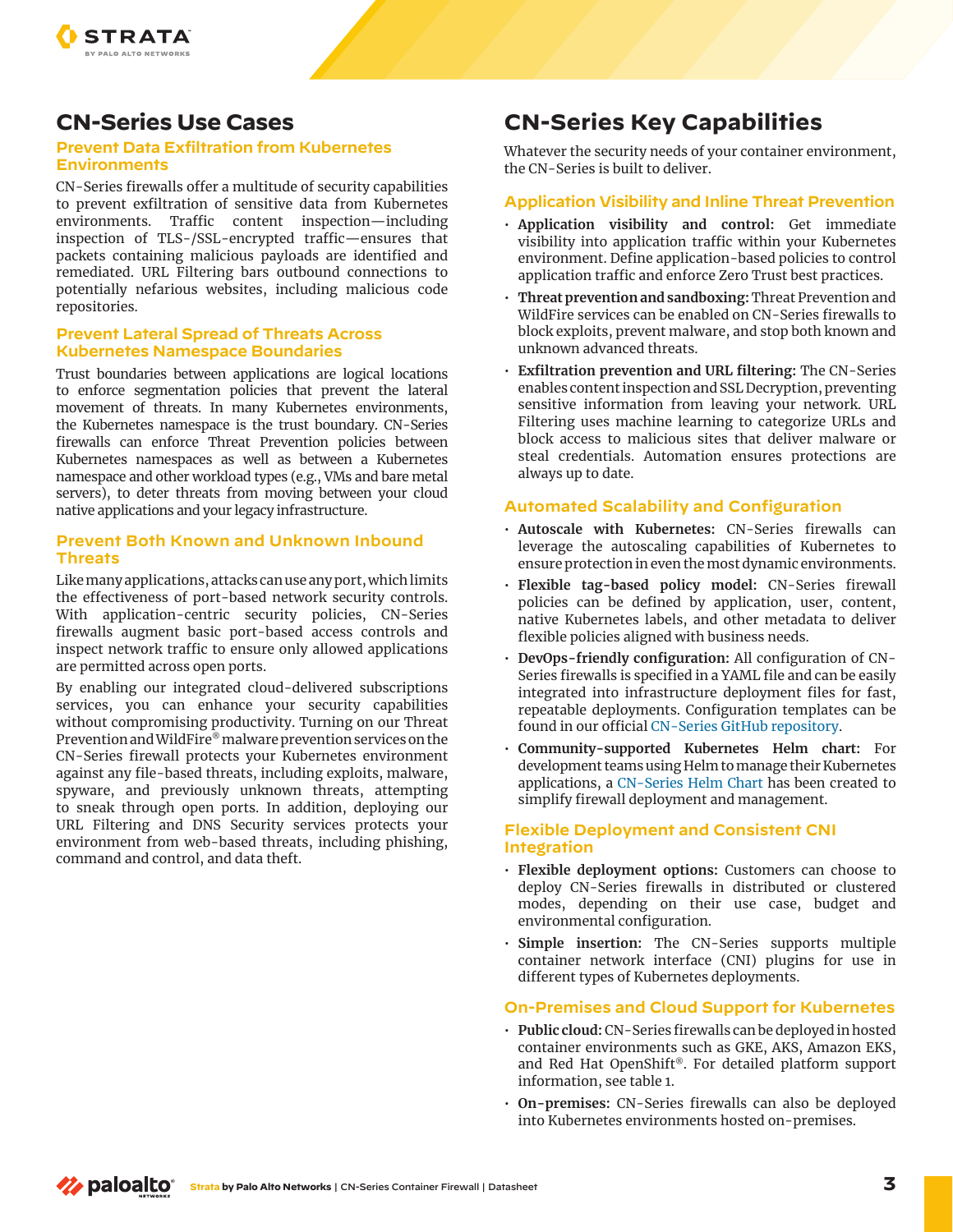

## **CN-Series Use Cases**

#### **Prevent Data Exfiltration from Kubernetes Environments**

CN-Series firewalls offer a multitude of security capabilities to prevent exfiltration of sensitive data from Kubernetes environments. Traffic content inspection—including inspection of TLS-/SSL-encrypted traffic—ensures that packets containing malicious payloads are identified and remediated. URL Filtering bars outbound connections to potentially nefarious websites, including malicious code repositories.

#### **Prevent Lateral Spread of Threats Across Kubernetes Namespace Boundaries**

Trust boundaries between applications are logical locations to enforce segmentation policies that prevent the lateral movement of threats. In many Kubernetes environments, the Kubernetes namespace is the trust boundary. CN-Series firewalls can enforce Threat Prevention policies between Kubernetes namespaces as well as between a Kubernetes namespace and other workload types (e.g., VMs and bare metal servers), to deter threats from moving between your cloud native applications and your legacy infrastructure.

#### **Prevent Both Known and Unknown Inbound Threats**

Like many applications, attacks can use any port, which limits the effectiveness of port-based network security controls. With application-centric security policies, CN-Series firewalls augment basic port-based access controls and inspect network traffic to ensure only allowed applications are permitted across open ports.

By enabling our integrated cloud-delivered subscriptions services, you can enhance your security capabilities without compromising productivity. Turning on our Threat Prevention and WildFire® malware prevention services on the CN-Series firewall protects your Kubernetes environment against any file-based threats, including exploits, malware, spyware, and previously unknown threats, attempting to sneak through open ports. In addition, deploying our URL Filtering and DNS Security services protects your environment from web-based threats, including phishing, command and control, and data theft.

## **CN-Series Key Capabilities**

Whatever the security needs of your container environment, the CN-Series is built to deliver.

#### **Application Visibility and Inline Threat Prevention**

- **Application visibility and control:** Get immediate visibility into application traffic within your Kubernetes environment. Define application-based policies to control application traffic and enforce Zero Trust best practices.
- **Threat prevention and sandboxing:**Threat Prevention and WildFire services can be enabled on CN-Series firewalls to block exploits, prevent malware, and stop both known and unknown advanced threats.
- **Exfiltration prevention and URL filtering:** The CN-Series enables content inspection and SSL Decryption, preventing sensitive information from leaving your network. URL Filtering uses machine learning to categorize URLs and block access to malicious sites that deliver malware or steal credentials. Automation ensures protections are always up to date.

#### **Automated Scalability and Configuration**

- **Autoscale with Kubernetes:** CN-Series firewalls can leverage the autoscaling capabilities of Kubernetes to ensure protection in even the most dynamic environments.
- **Flexible tag-based policy model:** CN-Series firewall policies can be defined by application, user, content, native Kubernetes labels, and other metadata to deliver flexible policies aligned with business needs.
- **DevOps-friendly configuration:** All configuration of CN-Series firewalls is specified in a YAML file and can be easily integrated into infrastructure deployment files for fast, repeatable deployments. Configuration templates can be found in our official [CN-Series GitHub repository](https://github.com/PaloAltoNetworks/Kubernetes).
- **Community-supported Kubernetes Helm chart:** For development teams using Helm to manage their Kubernetes applications, a [CN-Series Helm Chart](https://github.com/PaloAltoNetworks/cn-series-helm) has been created to simplify firewall deployment and management.

#### **Flexible Deployment and Consistent CNI Integration**

- **Flexible deployment options:** Customers can choose to deploy CN-Series firewalls in distributed or clustered modes, depending on their use case, budget and environmental configuration.
- **Simple insertion:** The CN-Series supports multiple container network interface (CNI) plugins for use in different types of Kubernetes deployments.

#### **On-Premises and Cloud Support for Kubernetes**

- **Public cloud:** CN-Series firewalls can be deployed in hosted container environments such as GKE, AKS, Amazon EKS, and Red Hat OpenShift®. For detailed platform support information, see table 1.
- **On-premises:** CN-Series firewalls can also be deployed into Kubernetes environments hosted on-premises.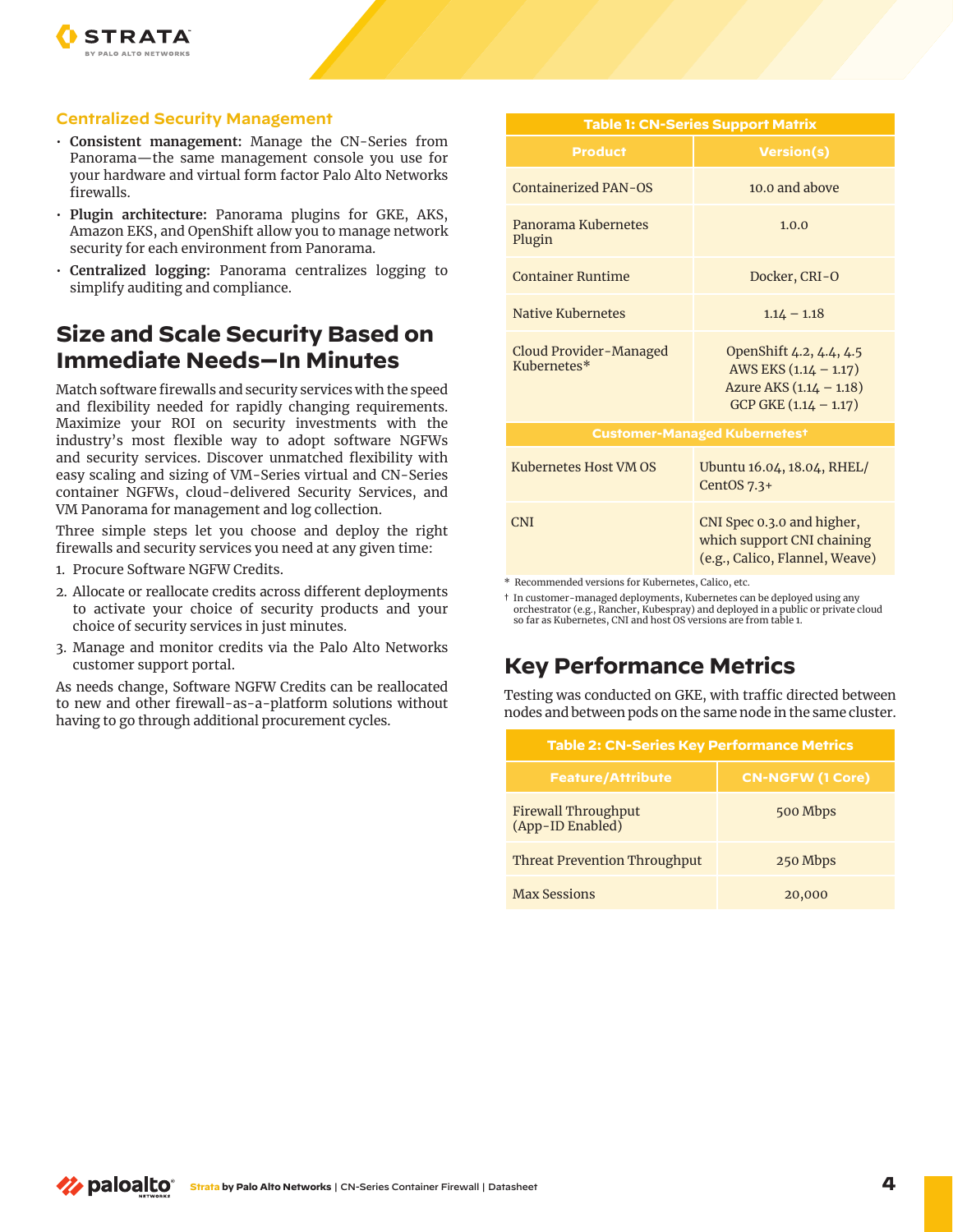

#### **Centralized Security Management**

- **Consistent management:** Manage the CN-Series from Panorama—the same management console you use for your hardware and virtual form factor Palo Alto Networks firewalls.
- **Plugin architecture:** Panorama plugins for GKE, AKS, Amazon EKS, and OpenShift allow you to manage network security for each environment from Panorama.
- **Centralized logging:** Panorama centralizes logging to simplify auditing and compliance.

## **Size and Scale Security Based on Immediate Needs—In Minutes**

Match software firewalls and security services with the speed and flexibility needed for rapidly changing requirements. Maximize your ROI on security investments with the industry's most flexible way to adopt software NGFWs and security services. Discover unmatched flexibility with easy scaling and sizing of VM-Series virtual and CN-Series container NGFWs, cloud-delivered Security Services, and VM Panorama for management and log collection.

Three simple steps let you choose and deploy the right firewalls and security services you need at any given time:

- 1. Procure Software NGFW Credits.
- 2. Allocate or reallocate credits across different deployments to activate your choice of security products and your choice of security services in just minutes.
- 3. Manage and monitor credits via the Palo Alto Networks customer support portal.

As needs change, Software NGFW Credits can be reallocated to new and other firewall-as-a-platform solutions without having to go through additional procurement cycles.

| <b>Table 1: CN-Series Support Matrix</b> |                                                                                                        |  |
|------------------------------------------|--------------------------------------------------------------------------------------------------------|--|
| <b>Product</b>                           | <b>Version(s)</b>                                                                                      |  |
| <b>Containerized PAN-OS</b>              | $10.0$ and above                                                                                       |  |
| Panorama Kubernetes<br>Plugin            | 1.0.0                                                                                                  |  |
| <b>Container Runtime</b>                 | Docker, CRI-O                                                                                          |  |
| Native Kubernetes                        | $1.14 - 1.18$                                                                                          |  |
| Cloud Provider-Managed<br>Kubernetes*    | OpenShift 4.2, 4.4, 4.5<br>AWS EKS (1.14 - 1.17)<br>Azure AKS (1.14 - 1.18)<br>$GCP GKE (1.14 - 1.17)$ |  |
| <b>Customer-Managed Kubernetest</b>      |                                                                                                        |  |
| Kubernetes Host VM OS                    | Ubuntu 16.04, 18.04, RHEL/<br>CentOS $7.3+$                                                            |  |
| CNI                                      | CNI Spec 0.3.0 and higher,<br>which support CNI chaining<br>(e.g., Calico, Flannel, Weave)             |  |

\* Recommended versions for Kubernetes, Calico, etc.

† In customer-managed deployments, Kubernetes can be deployed using any orchestrator (e.g., Rancher, Kubespray) and deployed in a public or private cloud so far as Kubernetes, CNI and host OS versions are from table 1.

## **Key Performance Metrics**

Testing was conducted on GKE, with traffic directed between nodes and between pods on the same node in the same cluster.

| <b>Table 2: CN-Series Key Performance Metrics</b> |                         |  |
|---------------------------------------------------|-------------------------|--|
| <b>Feature/Attribute</b>                          | <b>CN-NGFW (1 Core)</b> |  |
| Firewall Throughput<br>(App-ID Enabled)           | 500 Mbps                |  |
| <b>Threat Prevention Throughput</b>               | 250 Mbps                |  |
| <b>Max Sessions</b>                               | 20,000                  |  |